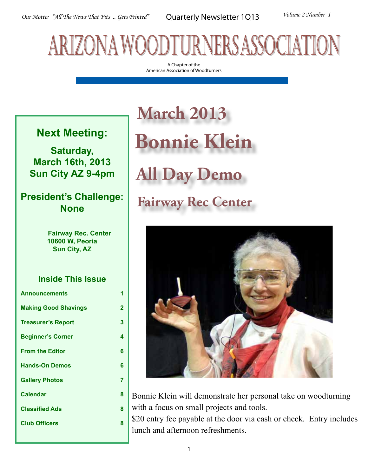# arizona woodturners association

A Chapter of the American Association of Woodturners

#### **Next Meeting:**

**Saturday, March 16th, 2013 Sun City AZ 9-4pm**

#### **President's Challenge: None**

 **Fairway Rec. Center 10600 W, Peoria Sun City, AZ**

#### **Inside This Issue**

| <b>Announcements</b>        | 1 |
|-----------------------------|---|
| <b>Making Good Shavings</b> | 2 |
| <b>Treasurer's Report</b>   | 3 |
| <b>Beginner's Corner</b>    | 4 |
| <b>From the Editor</b>      | 6 |
| <b>Hands-On Demos</b>       | 6 |
| <b>Gallery Photos</b>       | 7 |
| <b>Calendar</b>             | 8 |
| <b>Classified Ads</b>       | 8 |
| <b>Club Officers</b>        | 8 |
|                             |   |

## **March 2013 Bonnie Klein All Day Demo Fairway Rec Center**



Bonnie Klein will demonstrate her personal take on woodturning with a focus on small projects and tools.

\$20 entry fee payable at the door via cash or check. Entry includes lunch and afternoon refreshments.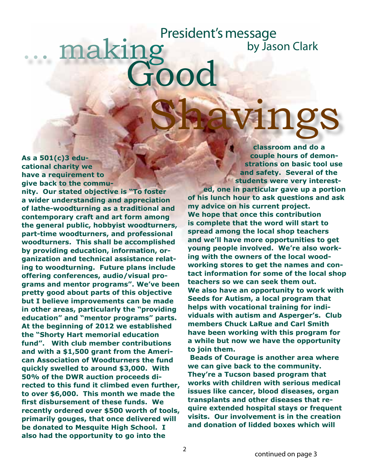### naking Good Shavings President's message by Jason Clark

**As a 501(c)3 educational charity we have a requirement to give back to the community. Our stated objective is "To foster a wider understanding and appreciation of lathe-woodturning as a traditional and contemporary craft and art form among the general public, hobbyist woodturners, part-time woodturners, and professional woodturners. This shall be accomplished by providing education, information, organization and technical assistance relating to woodturning. Future plans include offering conferences, audio/visual programs and mentor programs". We've been pretty good about parts of this objective but I believe improvements can be made in other areas, particularly the "providing education" and "mentor programs" parts. At the beginning of 2012 we established the "Shorty Hart memorial education fund". With club member contributions and with a \$1,500 grant from the American Association of Woodturners the fund quickly swelled to around \$3,000. With 50% of the DWR auction proceeds directed to this fund it climbed even further, to over \$6,000. This month we made the first disbursement of these funds. We recently ordered over \$500 worth of tools, primarily gouges, that once delivered will be donated to Mesquite High School. I also had the opportunity to go into the** 

**classroom and do a couple hours of demonstrations on basic tool use and safety. Several of the students were very interested, one in particular gave up a portion of his lunch hour to ask questions and ask my advice on his current project. We hope that once this contribution is complete that the word will start to spread among the local shop teachers and we'll have more opportunities to get young people involved. We're also working with the owners of the local woodworking stores to get the names and contact information for some of the local shop teachers so we can seek them out. We also have an opportunity to work with Seeds for Autism, a local program that helps with vocational training for individuals with autism and Asperger's. Club members Chuck LaRue and Carl Smith have been working with this program for a while but now we have the opportunity to join them.**

 **Beads of Courage is another area where we can give back to the community. They're a Tucson based program that works with children with serious medical issues like cancer, blood diseases, organ transplants and other diseases that require extended hospital stays or frequent visits. Our involvement is in the creation and donation of lidded boxes which will**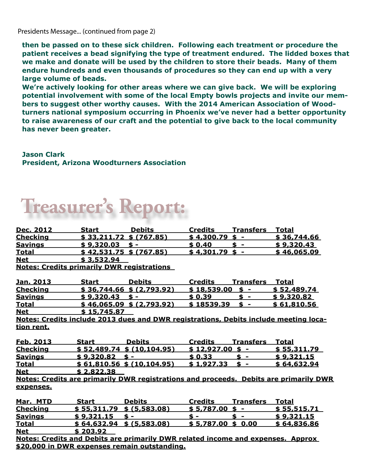Presidents Message... (continued from page 2)

**then be passed on to these sick children. Following each treatment or procedure the patient receives a bead signifying the type of treatment endured. The lidded boxes that we make and donate will be used by the children to store their beads. Many of them endure hundreds and even thousands of procedures so they can end up with a very large volume of beads.**

**We're actively looking for other areas where we can give back. We will be exploring potential involvement with some of the local Empty bowls projects and invite our members to suggest other worthy causes. With the 2014 American Association of Woodturners national symposium occurring in Phoenix we've never had a better opportunity to raise awareness of our craft and the potential to give back to the local community has never been greater.**

**Jason Clark President, Arizona Woodturners Association**

### **Treasurer's Report:**

| Dec. 2012                                         | <b>Start</b>                     | <b>Debits</b>                                                                        | <b>Credits</b>    | <b>Transfers</b>               | <u>Total</u>                                                                          |
|---------------------------------------------------|----------------------------------|--------------------------------------------------------------------------------------|-------------------|--------------------------------|---------------------------------------------------------------------------------------|
| <b>Checking</b>                                   | $$33,211.72 \text{ } $ (767.85)$ |                                                                                      | \$4,300.79        | \$<br>$\sim$                   | \$36,744.66                                                                           |
| <b>Savings</b>                                    | \$9,320.03                       | $\mathbf{s}$ –                                                                       | \$0.40            | \$<br>$\sim$                   | \$9,320.43                                                                            |
| <b>Total</b>                                      | $$42,531.75$ \$ (767.85)         |                                                                                      | \$4,301.79        | \$<br>$\sim$ $-$               | \$46,065.09                                                                           |
| <b>Net</b>                                        | \$3,532.94                       |                                                                                      |                   |                                |                                                                                       |
| <b>Notes: Credits primarily DWR registrations</b> |                                  |                                                                                      |                   |                                |                                                                                       |
| <u>Jan. 2013</u>                                  | <b>Start</b>                     | <b>Debits</b>                                                                        | <b>Credits</b>    | Transfers                      | Total                                                                                 |
| <b>Checking</b>                                   |                                  | $$36,744.66$ $$(2,793.92)$                                                           | \$18,539.00       | $\ddot{\bm{s}}$ –              | \$52,489.74                                                                           |
| <b>Savings</b>                                    | \$9,320.43                       | $\mathbf{s}$ –                                                                       | \$0.39            | \$<br>$\blacksquare$           | \$9,320.82                                                                            |
| <b>Total</b>                                      |                                  | $$46,065.09$ \$ (2,793.92)                                                           | \$18539.39        | \$<br>$\blacksquare$           | \$61,810.56                                                                           |
| <b>Net</b>                                        | \$15,745.87                      |                                                                                      |                   |                                |                                                                                       |
|                                                   |                                  | Notes: Credits include 2013 dues and DWR registrations, Debits include meeting loca- |                   |                                |                                                                                       |
| tion rent.                                        |                                  |                                                                                      |                   |                                |                                                                                       |
|                                                   |                                  |                                                                                      |                   |                                |                                                                                       |
| Feb. 2013                                         | <b>Start</b>                     | <b>Debits</b>                                                                        | <b>Credits</b>    | <b>Transfers</b>               | Total                                                                                 |
| <b>Checking</b>                                   |                                  | $$52,489.74$ \$ (10,104.95)                                                          | $$12.927.00$$ s - |                                | \$55,311.79                                                                           |
| <b>Savings</b>                                    | $$9,320.82$ \$ -                 |                                                                                      | \$0.33            | \$<br>$\overline{\phantom{a}}$ | \$9,321.15                                                                            |
| <b>Total</b>                                      |                                  | $$61,810.56$ \$ (10.104.95)                                                          | \$1,927.33        | \$ -                           | \$64,632.94                                                                           |
| <b>Net</b>                                        | \$2,822.38                       |                                                                                      |                   |                                |                                                                                       |
|                                                   |                                  |                                                                                      |                   |                                |                                                                                       |
| expenses.                                         |                                  |                                                                                      |                   |                                | Notes: Credits are primarily DWR registrations and proceeds. Debits are primarily DWR |
| Mar. MTD                                          | <b>Start</b>                     | <b>Debits</b>                                                                        | <b>Credits</b>    | <b>Transfers</b>               | <b>Total</b>                                                                          |
| <b>Checking</b>                                   | \$55,311.79                      | \$ (5,583.08)                                                                        | \$5,787.00        | $\frac{1}{2}$ -                | <u>\$ 55,515.71 </u>                                                                  |
| <b>Savings</b>                                    | \$9.321.15                       | $\hat{\mathbf{s}}$ –                                                                 | $\mathbf{s}$ –    | \$<br>$\sim$                   | \$9.321.15                                                                            |
| <b>Total</b>                                      | $$64,632.94$ $$ (5,583.08)$      |                                                                                      | \$5,787.00        | \$0.00                         | \$64,836.86                                                                           |
| <b>Net</b>                                        | \$203.92                         |                                                                                      |                   |                                |                                                                                       |
|                                                   |                                  | Notes: Credits and Debits are primarily DWR related income and expenses. Approx      |                   |                                |                                                                                       |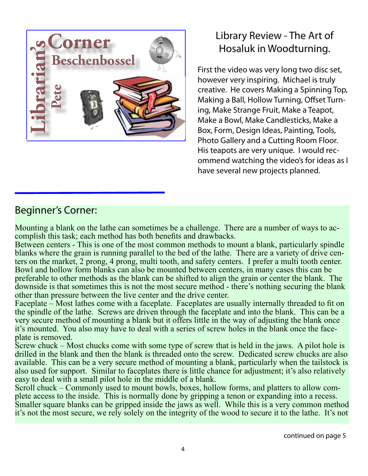

### Library Review - The Art of Hosaluk in Woodturning.

First the video was very long two disc set, however very inspiring. Michael is truly creative. He covers Making a Spinning Top, Making a Ball, Hollow Turning, Offset Turning, Make Strange Fruit, Make a Teapot, Make a Bowl, Make Candlesticks, Make a Box, Form, Design Ideas, Painting, Tools, Photo Gallery and a Cutting Room Floor. His teapots are very unique. I would recommend watching the video's for ideas as I have several new projects planned.

#### Beginner's Corner:

Mounting a blank on the lathe can sometimes be a challenge. There are a number of ways to ac- complish this task; each method has both benefits and drawbacks.

Between centers - This is one of the most common methods to mount a blank, particularly spindle blanks where the grain is running parallel to the bed of the lathe. There are a variety of drive centers on the market, 2 prong, 4 prong, multi tooth, and safety centers. I prefer a multi tooth center. Bowl and hollow form blanks can also be mounted between centers, in many cases this can be preferable to other methods as the blank can be shifted to align the grain or center the blank. The downside is that sometimes this is not the most secure method - there's nothing securing the blank other than pressure between the live center and the drive center.

Faceplate – Most lathes come with a faceplate. Faceplates are usually internally threaded to fit on the spindle of the lathe. Screws are driven through the faceplate and into the blank. This can be a very secure method of mounting a blank but it offers little in the way of adjusting the blank once it's mounted. You also may have to deal with a series of screw holes in the blank once the faceplate is removed.

Screw chuck – Most chucks come with some type of screw that is held in the jaws. A pilot hole is drilled in the blank and then the blank is threaded onto the screw. Dedicated screw chucks are also available. This can be a very secure method of mounting a blank, particularly when the tailstock is also used for support. Similar to faceplates there is little chance for adjustment; it's also relatively easy to deal with a small pilot hole in the middle of a blank.

Scroll chuck – Commonly used to mount bowls, boxes, hollow forms, and platters to allow complete access to the inside. This is normally done by gripping a tenon or expanding into a recess. Smaller square blanks can be gripped inside the jaws as well. While this is a very common method it's not the most secure, we rely solely on the integrity of the wood to secure it to the lathe. It's not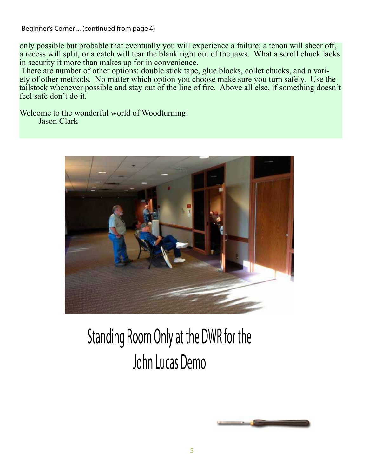Beginner's Corner ... (continued from page 4)

only possible but probable that eventually you will experience a failure; a tenon will sheer off, a recess will split, or a catch will tear the blank right out of the jaws. What a scroll chuck lacks in security it more than makes up for in convenience.<br>There are number of other options: double stick tape, glue blocks, collet chucks, and a vari-

ety of other methods. No matter which option you choose make sure you turn safely. Use the tailstock whenever possible and stay out of the line of fire. Above all else, if something doesn't feel safe don't do it.

Welcome to the wonderful world of Woodturning! Jason Clark



### Standing Room Only at the DWR for the John Lucas Demo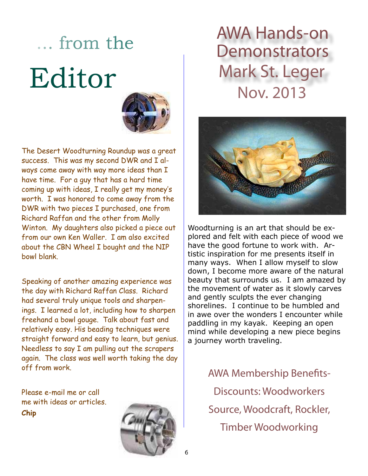# ... from the Editor



The Desert Woodturning Roundup was a great success. This was my second DWR and I always come away with way more ideas than I have time. For a guy that has a hard time coming up with ideas, I really get my money's worth. I was honored to come away from the DWR with two pieces I purchased, one from Richard Raffan and the other from Molly Winton. My daughters also picked a piece out from our own Ken Waller. I am also excited about the CBN Wheel I bought and the NIP bowl blank.

Speaking of another amazing experience was the day with Richard Raffan Class. Richard had several truly unique tools and sharpenings. I learned a lot, including how to sharpen freehand a bowl gouge. Talk about fast and relatively easy. His beading techniques were straight forward and easy to learn, but genius. Needless to say I am pulling out the scrapers again. The class was well worth taking the day off from work.

Please e-mail me or call me with ideas or articles. **Chip**



### AWA Hands-on **Demonstrators** Mark St. Leger Nov. 2013



Woodturning is an art that should be explored and felt with each piece of wood we have the good fortune to work with. Artistic inspiration for me presents itself in many ways. When I allow myself to slow down, I become more aware of the natural beauty that surrounds us. I am amazed by the movement of water as it slowly carves and gently sculpts the ever changing shorelines. I continue to be humbled and in awe over the wonders I encounter while paddling in my kayak. Keeping an open mind while developing a new piece begins a journey worth traveling.

> AWA Membership Benefits-Discounts: Woodworkers Source, Woodcraft, Rockler, Timber Woodworking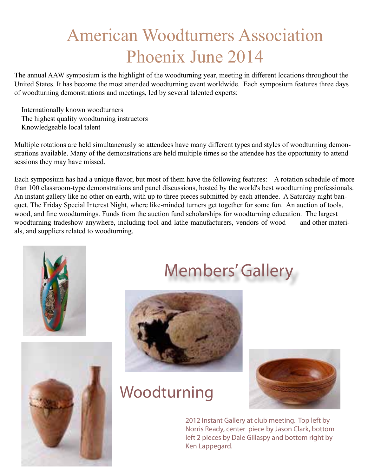### American Woodturners Association Phoenix June 2014

The annual AAW symposium is the highlight of the woodturning year, meeting in different locations throughout the United States. It has become the most attended woodturning event worldwide. Each symposium features three days of woodturning demonstrations and meetings, led by several talented experts:

 Internationally known woodturners The highest quality woodturning instructors Knowledgeable local talent

Multiple rotations are held simultaneously so attendees have many different types and styles of woodturning demonstrations available. Many of the demonstrations are held multiple times so the attendee has the opportunity to attend sessions they may have missed.

Each symposium has had a unique flavor, but most of them have the following features: A rotation schedule of more than 100 classroom-type demonstrations and panel discussions, hosted by the world's best woodturning professionals. An instant gallery like no other on earth, with up to three pieces submitted by each attendee. A Saturday night banquet. The Friday Special Interest Night, where like-minded turners get together for some fun. An auction of tools, wood, and fine woodturnings. Funds from the auction fund scholarships for woodturning education. The largest woodturning tradeshow anywhere, including tool and lathe manufacturers, vendors of wood and other materials, and suppliers related to woodturning.





### Members' Gallery



### Woodturning



2012 Instant Gallery at club meeting. Top left by Norris Ready, center piece by Jason Clark, bottom left 2 pieces by Dale Gillaspy and bottom right by Ken Lappegard.